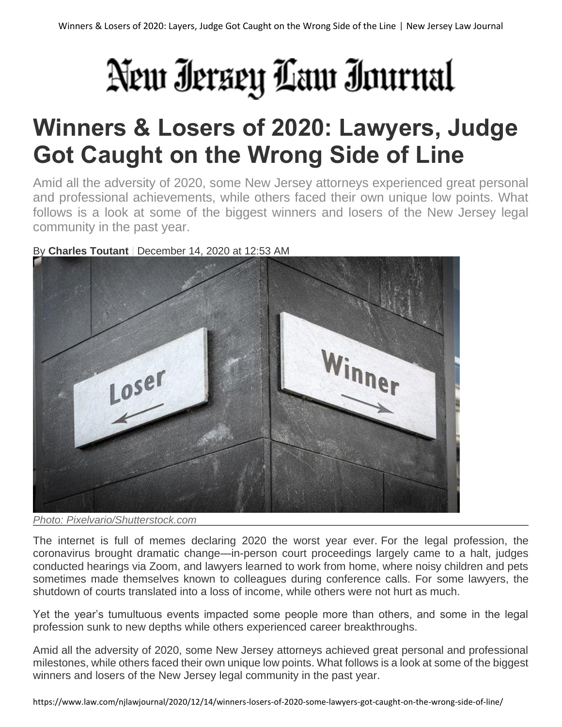# New Iersey Law Inurnal

## **Winners & Losers of 2020: Lawyers, Judge Got Caught on the Wrong Side of Line**

Amid all the adversity of 2020, some New Jersey attorneys experienced great personal and professional achievements, while others faced their own unique low points. What follows is a look at some of the biggest winners and losers of the New Jersey legal community in the past year.

#### By **Charles Toutant** | December 14, 2020 at 12:53 AM



*Photo: Pixelvario/Shutterstock.com*

The internet is full of memes declaring 2020 the worst year ever. For the legal profession, the coronavirus brought dramatic change—in-person court proceedings largely came to a halt, judges conducted hearings via Zoom, and lawyers learned to work from home, where noisy children and pets sometimes made themselves known to colleagues during conference calls. For some lawyers, the shutdown of courts translated into a loss of income, while others were not hurt as much.

Yet the year's tumultuous events impacted some people more than others, and some in the legal profession sunk to new depths while others experienced career breakthroughs.

Amid all the adversity of 2020, some New Jersey attorneys achieved great personal and professional milestones, while others faced their own unique low points. What follows is a look at some of the biggest winners and losers of the New Jersey legal community in the past year.